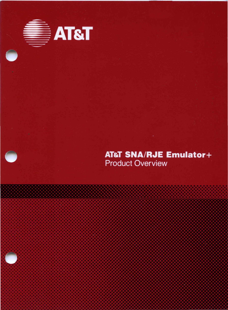

# **AT&T SNA/RJE Emulator+ Product Overview**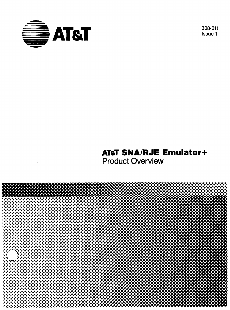

308-011 Issue 1

# **AT&T SNA/RJE Emulator+**

**Product Overview** 

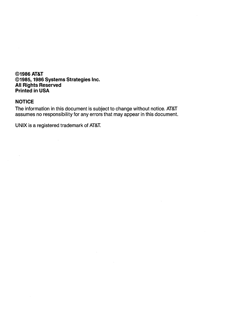#### ©1986 AT&T ©1985, 1986 Systems Strategies Inc. All Rights Reserved Printed in USA

#### NOTICE

 $\mathcal{L}$ 

The information in this document is subject to change without notice. AT&T assumes no responsibility for any errors that may appear in this document.

 $\sim 10^{-1}$ 

UNIX is a registered trademark of AT&T.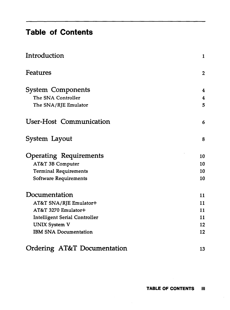# **Table of Contents**

| Introduction                         | 1              |
|--------------------------------------|----------------|
| Features                             | $\overline{2}$ |
| <b>System Components</b>             | 4              |
| The SNA Controller                   | 4              |
| The SNA/RJE Emulator                 | 5              |
| User-Host Communication              | 6              |
| System Layout                        | 8              |
| <b>Operating Requirements</b>        | 10             |
| AT&T 3B Computer                     | 10             |
| <b>Terminal Requirements</b>         | 10             |
| <b>Software Requirements</b>         | 10             |
| Documentation                        | 11             |
| AT&T SNA/RJE Emulator+               | 11             |
| AT&T 3270 Emulator+                  | 11             |
| <b>Intelligent Serial Controller</b> | 11             |
| <b>UNIX System V</b>                 | 12             |
| <b>IBM SNA Documentation</b>         | 12             |
| Ordering AT&T Documentation          | 13             |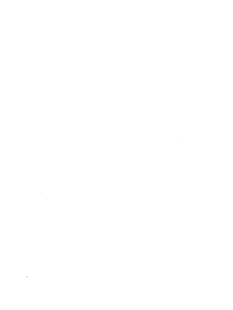$\label{eq:2.1} \mathcal{L}(\mathcal{L}^{\text{max}}_{\mathcal{L}}(\mathcal{L}^{\text{max}}_{\mathcal{L}}(\mathcal{L}^{\text{max}}_{\mathcal{L}}(\mathcal{L}^{\text{max}}_{\mathcal{L}^{\text{max}}_{\mathcal{L}}})))))$  $\mathcal{L}(\mathcal{A})$  and  $\mathcal{L}(\mathcal{A})$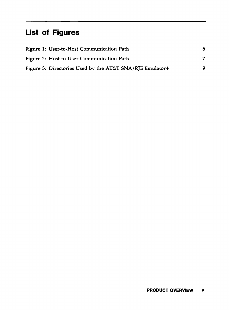# **List of Figures**

| Figure 1: User-to-Host Communication Path                | 6. |
|----------------------------------------------------------|----|
| Figure 2: Host-to-User Communication Path                |    |
| Figure 3: Directories Used by the AT&T SNA/RJE Emulator+ | Q  |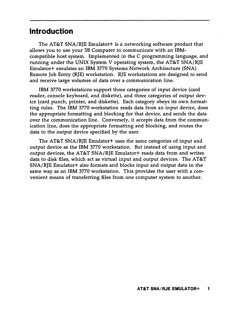#### **Introduction**

The AT&T SNA/RJE Emulator+ is a networking software product that allows you to use your 3B Computer to communicate with an IBMcompatible host system. Implemented in the C programming language, and running under the UNIX System V operating system, the AT&T SNA/RJE Emulator+ emulates an IBM 3770 Systems Network Architecture (SNA) Remote Job Entry (RJE) workstation. RJE workstations are designed to send and receive large volumes of data over a communication line.

IBM 3770 workstations support three categories of input device (card reader, console keyboard, and diskette), and three categories of output device (card punch, printer, and diskette). Each category obeys its own formatting rules. The IBM 3770 workstation reads data from an input device, does the appropriate formatting and blocking for that device, and sends the data over the communication line. Conversely, it accepts data from the communication line, does the appropriate formatting and blocking, and routes the data to the output device specified by the user.

The AT&T SNA/RJE Emulator+ uses the same categories of input and output device as the IBM 3770 workstation. But instead of using input and output devices, the AT&T SNA/RJE Emulator+ reads data from and writes data to disk files, which act as virtual input and output devices. The AT&T SNA/RJE Emulator+ also formats and blocks input and output data in the same way as an IBM 3770 workstation. This provides the user with a convenient means of transferring files from one computer system to another.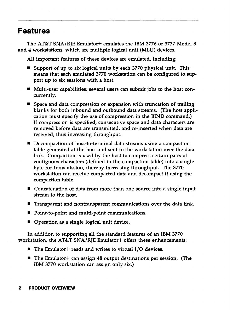### **Features**

The AT&T SNA/RJE Emulator+ emulates the IBM 3776 or 3777 Model 3 and 4 workstations, which are multiple logical unit (MLU) devices.

All important features of these devices are emulated, including:

- Support of up to six logical units by each 3770 physical unit. This means that each emulated 3770 workstation can be configured to support up to six sessions with a host.
- Multi-user capabilities; several users can submit jobs to the host concurrently.
- **•** Space and data compression or expansion with truncation of trailing blanks for both inbound and outbound data streams. (The host application must specify the use of compression in the BIND command.) If compression is specified, consecutive space and data characters are removed before data are transmitted, and re-inserted when data are received, thus increasing throughput.
- **Decompaction of host-to-terminal data streams using a compaction** table generated at the host and sent to the workstation over the data link. Compaction is used by the host to compress certain pairs of contiguous characters (defined in the compaction table) into a single byte for transmission, thereby increasing throughput. The 3770 workstation can receive compacted data and decompact it using the compaction table.
- Concatenation of data from more than one source into a single input stream to the host.
- $\blacksquare$  Transparent and nontransparent communications over the data link.
- Point-to-point and multi-point communications.
- **Operation as a single logical unit device.**

In addition to supporting all the standard features of an IBM 3770 workstation, the AT&T SNA/RJE Emulator+ offers these enhancements:

- $\blacksquare$  The Emulator + reads and writes to virtual I/O devices.
- The Emulator+ can assign 48 output destinations per session. (The IBM 3770 workstation can assign only six.)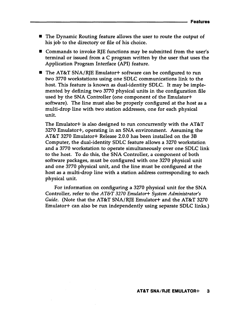- The Oynamic Routing feature allows the user to route the output of his job to the directory or file of his choice.
- Commands to invoke RJE functions may be submitted from the user's terminal or issued from a C program written by the user that uses the Application Program Interface (API) feature.
- The AT&T SNA/RIE Emulator+ software can be configured to run two 3770 workstations using one SOLC communications link to the host. This feature is known as dual-identity SOLC. It may be implemented by defining two 3770 physical units in the configuration file used by the SNA Controller (one component of the Emulator+ software). The line must also be properly configured at the host as a multi-drop line with two station addresses, one for each physical unit.

The Emulator+ is also designed to run concurrently with the AT&T 3270 Emulator+, operating in an SNA environment. Assuming the AT&T 3270 Emulator+ Release 2.0.0 has been installed on the 3B Computer, the dual-identity SOLC feature allows a 3270 workstation and a 3770 workstation to operate simultaneously over one SOLC link to the host. To do this, the SNA Controller, a component of both software packages, must be configured with one 3270 physical unit and one 3770 physical unit, and the line must be configured at the host as a multi-drop line with a station address corresponding to each physical unit.

For information on configuring a 3270 physical unit for the SNA Controller, refer to the *AT&T 3270 Emulator+ System Administrator's*  Guide. (Note that the AT&T SNA/RJE Emulator+ and the AT&T 3270 Emulator+ can also be run independently using separate SOLC links.)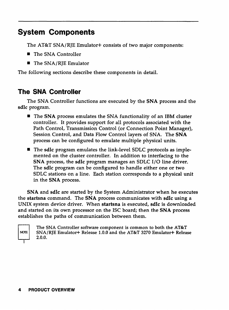## **System Components**

The AT&T SNA/RJE Emulator+ consists of two major components:

- The SNA Controller
- **The SNA/RIE Emulator**

The following sections describe these components in detail.

### **The SNA Controller**

The SNA Controller functions are executed by the SNA process and the sdlc program.

- **The SNA process emulates the SNA functionality of an IBM cluster** controller. It provides support for all protocols associated with the Path Control, Transmission Control (or Connection Point Manager), Session Control, and Data Flow Control layers of SNA. The SNA process can be configured to emulate multiple physical units.
- The sdlc program emulates the link-level SDLC protocols as implemented on the cluster controller. In addition to interfacing to the SNA process, the sdlc program manages an SOLC I/O line driver. The sdlc program can be configured to handle either one or two SOLC stations on a line. Each station corresponds to a physical unit in the SNA process.

SNA and sdlc are started by the System Administrator when he executes the startsna command. The SNA process communicates with sdlc using a UNIX system device driver. When startsna is executed, sdlc is downloaded and started on its own processor on the ISC board; then the SNA process establishes the paths of communication between them.

**NOTE** 

The SNA Controller software component is common to both the AT&T SNA/RJE Emulator+ Release 1.0.0 and the AT&T 3270 Emulator+ Release 2.0.0.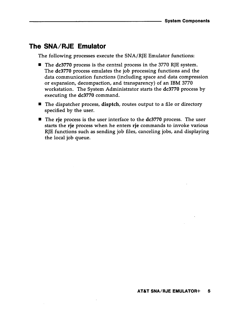#### **The SNA/RJE Emulator**

The following processes execute the SNA/RJE Emulator functions:

- $\blacksquare$  The dc3770 process is the central process in the 3770 RJE system. The dc3770 process emulates the job processing functions and the data communication functions (including space and data compression or expansion, decompaction, and transparency) of an IBM 3770 workstation. The System Administrator starts the dc3770 process by executing the dc3770 command.
- The dispatcher process, disptch, routes output to a file or directory specified by the user.
- $\blacksquare$  The rie process is the user interface to the dc3770 process. The user starts the rje process when he enters rje commands to invoke various RJE functions such as sending job files, canceling jobs, and displaying the local job queue.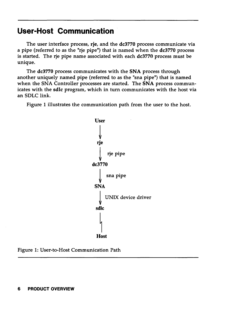### **User-Host Communication**

The user interface process, rje, and the dc3770 process communicate via a pipe (referred to as the "rje pipe") that is named when the dc3770 process is started. The rje pipe name associated with each dc3770 process must be unique.

The dc3770 process communicates with the SNA process through another uniquely named pipe (referred to as the "sna pipe") that is named when the SNA Controller processes are started. The SNA process communicates with the sdlc program, which in turn communicates with the host via an SDLC link.

Figure 1 illustrates the communication path from the user to the host.



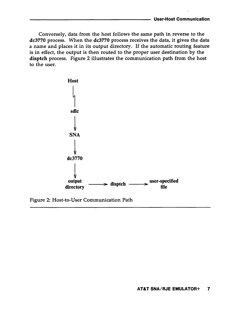Conversely, data from the host follows the same path in reverse to the dc3770 process. When the dc3770 process receives the data, it gives the data a name and places it in its output directory. If the automatic routing feature is in effect, the output is then routed to the proper user destination by the disptch process. Figure 2 illustrates the communication path from the host to the user.



Figure 2: Host-to-User Communication Path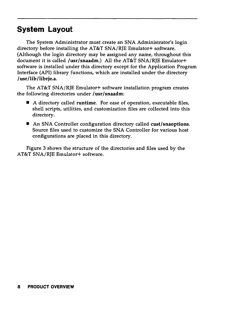### **System Layout**

The System Administrator must create an SNA Administrator's login directory before installing the AT&T SNA/RJE Emulator+ software. (Although the login directory may be assigned any name, throughout this document it is called /usr/snaadm.) All the AT&T SNA/RJE Emulator+ software is installed under this directory except for the Application Program Interface (API) library functions, which are installed under the directory /usr/lib/librje.a.

The AT&T SNA/RJE Emulator+ software installation program creates the following directories under /usr/snaadm:

- A directory called runtime. For ease of operation, executable files, shell scripts, utilities, and customization files are collected into this directory.
- An SNA Controller configuration directory called cust/snaoptions. Source files used to customize the SNA Controller for various host configurations are placed in this directory.

Figure 3 shows the structure of the directories and files used by the AT&T SNA/RJE Emulator+ software.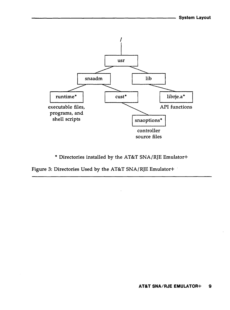

\* Directories installed by the AT&T SNA/RJE Emulator+

Figure 3: Directories Used by the AT&T SNA/RJE Emulator+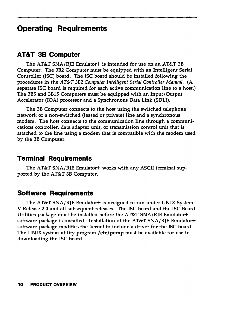### **Operating Requirements**

#### **AT&T 38 Computer**

The AT&T SNA/RIE Emulator+ is intended for use on an AT&T 3B Computer. The 3B2 Computer must be equipped with an Intelligent Serial Controller (ISC) board. The ISC board should be installed following the procedures in the *AT&T 3B2 Computer Intelligent Serial Controller Manual.* (A separate ISC board is required for each active communication line to a host.) The 3B5 and 3B15 Computers must be equipped with an Input/Output Accelerator (lOA) processor and a Synchronous Data Link (SDLI).

The 3B Computer connects to the host using the switched telephone network or a non-switched (leased or private) line and a synchronous modem. The host connects to the communication line through a communications controller, data adapter unit, or transmission control unit that is attached to the line using a modem that is compatible with the modem used by the 3B Computer.

#### **Terminal Requirements**

The AT&T SNA/RJE Emulator+ works with any ASCII terminal supported by the AT&T 3B Computer.

#### **Software Requirements**

The AT&T SNA/RJE Emulator+ is designed to run under UNIX System V Release 2.0 and all subsequent releases. The ISC board and the ISC Board Utilities package must be installed before the AT&T SNA/RJE Emulator+ software package is installed. Installation of the AT&T SNA/RJE Emulator+ software package modifies the kernel to include a driver for the ISC board. The UNIX system utility program / etc/pump must be available for use in downloading the ISC board.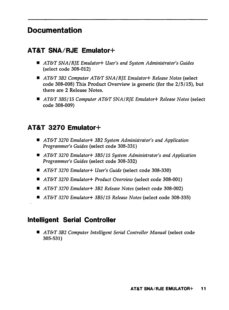#### **Documentation**

#### **AT&T SNA/RJE Emulator+**

- *AT&T SNA/ RJE Emulator+ User's and System Administrator's Guides*  (select code 308-012)
- *AT&T 3B2 Computer AT&T SNA/RJE Emulator+ Release Notes* (select code 308-008) This Product Overview is generic (for the 2/5/15), but there are 2 Release Notes.
- *AT&T 3B5/15 Computer AT&T SNA/RJE Emulator+ Release Notes* (select code 308-009)

#### **AT&T 3270 Emulator+**

- *AT&T 3270 Emulator+ 3B2 System Administrator's and Application Programmer's Guides* (select code 308-331)
- *AT&T 3270 Emulator+ 3B5/15 System Administrator's and Application Programmer's Guides* (select code 308-332)
- *AT&T 3270 Emulator+ User's Guide* (select code 308-330)
- *AT&T 3270 Emulator+ Product Overview* (select code 308-001)
- *AT&T 3270 Emulator+ 3B2 Release Notes* (select code 308-002)
- *AT&T 3270 Emulator+ 3B5/15 Release Notes* (select code 308-335)

#### **Intelligent Serial Controller**

■ *AT&T 3B2 Computer Intelligent Serial Controller Manual* (select code 305-531)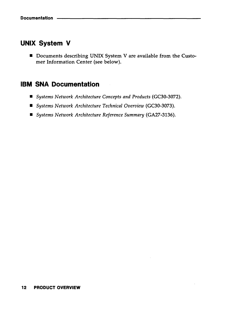#### **UNIX System V**

**• Documents describing UNIX System V are available from the Custo**mer Information Center (see below).

#### **IBM SNA Documentation**

- *Systems Network Architecture Concepts and Products* (GC30-3072).
- *Systems Network Architecture Technical Overview* (GC30-3073).
- *Systems Network Architecture Reference Summary* (GA27-3136).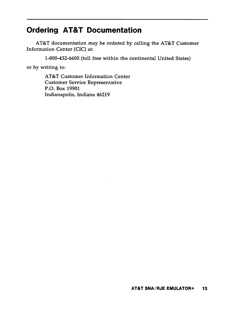# **Ordering AT&T Documentation**

AT&T documentation may be ordered by calling the AT&T Customer Information Center (CIC) at:

1-800-432-6600 (toll free within the continental United States)

or by writing to:

AT&T Customer Information Center Customer Service Representative P.O. Box 19901 Indianapolis, Indiana 46219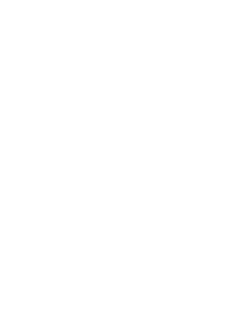$\label{eq:2.1} \frac{1}{\sqrt{2\pi}}\int_{\mathbb{R}^3}\frac{1}{\sqrt{2\pi}}\int_{\mathbb{R}^3}\frac{1}{\sqrt{2\pi}}\int_{\mathbb{R}^3}\frac{1}{\sqrt{2\pi}}\int_{\mathbb{R}^3}\frac{1}{\sqrt{2\pi}}\int_{\mathbb{R}^3}\frac{1}{\sqrt{2\pi}}\int_{\mathbb{R}^3}\frac{1}{\sqrt{2\pi}}\int_{\mathbb{R}^3}\frac{1}{\sqrt{2\pi}}\int_{\mathbb{R}^3}\frac{1}{\sqrt{2\pi}}\int_{\mathbb{R}^3}\frac{1$